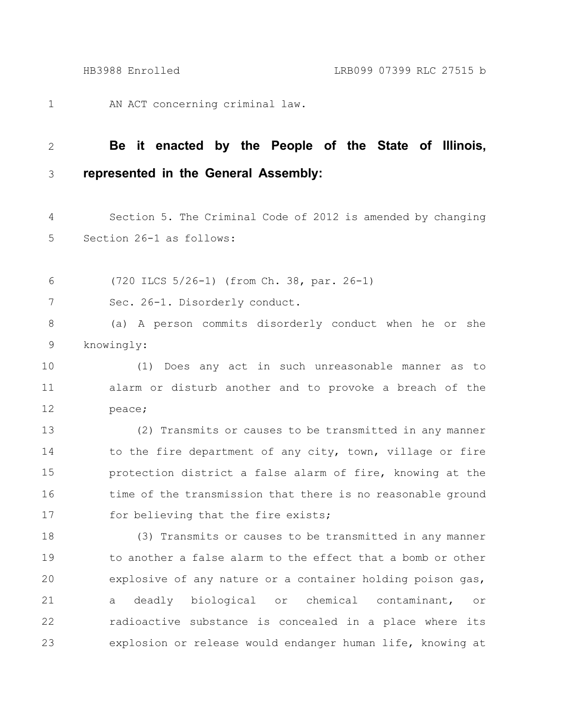AN ACT concerning criminal law. 1

## **Be it enacted by the People of the State of Illinois, represented in the General Assembly:** 2 3

Section 5. The Criminal Code of 2012 is amended by changing Section 26-1 as follows: 4 5

(720 ILCS 5/26-1) (from Ch. 38, par. 26-1) 6

Sec. 26-1. Disorderly conduct. 7

(a) A person commits disorderly conduct when he or she knowingly: 8 9

(1) Does any act in such unreasonable manner as to alarm or disturb another and to provoke a breach of the peace; 10 11 12

(2) Transmits or causes to be transmitted in any manner to the fire department of any city, town, village or fire protection district a false alarm of fire, knowing at the time of the transmission that there is no reasonable ground for believing that the fire exists; 13 14 15 16 17

(3) Transmits or causes to be transmitted in any manner to another a false alarm to the effect that a bomb or other explosive of any nature or a container holding poison gas, a deadly biological or chemical contaminant, or radioactive substance is concealed in a place where its explosion or release would endanger human life, knowing at 18 19 20 21 22 23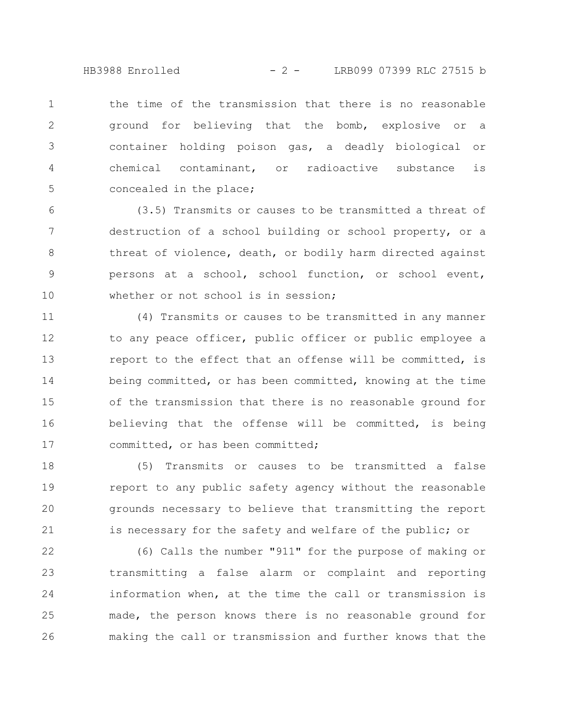HB3988 Enrolled - 2 - LRB099 07399 RLC 27515 b

the time of the transmission that there is no reasonable ground for believing that the bomb, explosive or a container holding poison gas, a deadly biological or chemical contaminant, or radioactive substance is concealed in the place; 1 2 3 4 5

(3.5) Transmits or causes to be transmitted a threat of destruction of a school building or school property, or a threat of violence, death, or bodily harm directed against persons at a school, school function, or school event, whether or not school is in session: 6 7 8 9 10

(4) Transmits or causes to be transmitted in any manner to any peace officer, public officer or public employee a report to the effect that an offense will be committed, is being committed, or has been committed, knowing at the time of the transmission that there is no reasonable ground for believing that the offense will be committed, is being committed, or has been committed; 11 12 13 14 15 16 17

(5) Transmits or causes to be transmitted a false report to any public safety agency without the reasonable grounds necessary to believe that transmitting the report is necessary for the safety and welfare of the public; or 18 19 20 21

(6) Calls the number "911" for the purpose of making or transmitting a false alarm or complaint and reporting information when, at the time the call or transmission is made, the person knows there is no reasonable ground for making the call or transmission and further knows that the 22 23 24 25 26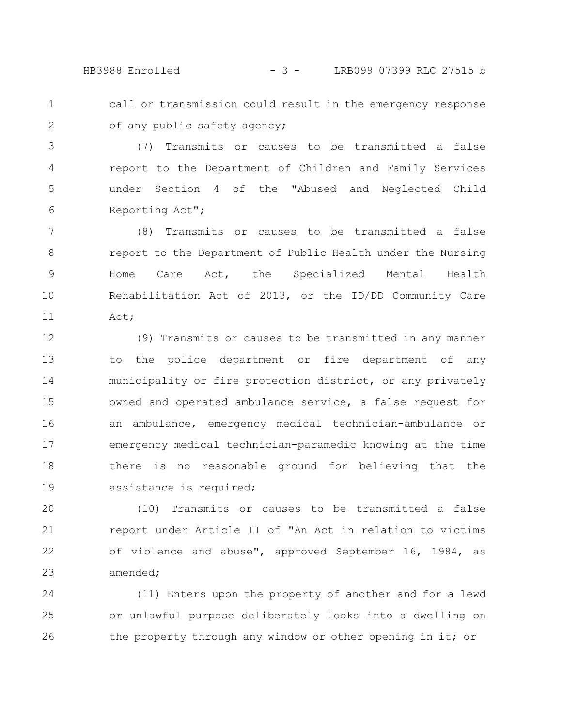HB3988 Enrolled - 3 - LRB099 07399 RLC 27515 b

1 2 call or transmission could result in the emergency response of any public safety agency;

(7) Transmits or causes to be transmitted a false report to the Department of Children and Family Services under Section 4 of the "Abused and Neglected Child Reporting Act"; 3 4 5 6

(8) Transmits or causes to be transmitted a false report to the Department of Public Health under the Nursing Home Care Act, the Specialized Mental Health Rehabilitation Act of 2013, or the ID/DD Community Care Act; 7 8 9 10 11

(9) Transmits or causes to be transmitted in any manner to the police department or fire department of any municipality or fire protection district, or any privately owned and operated ambulance service, a false request for an ambulance, emergency medical technician-ambulance or emergency medical technician-paramedic knowing at the time there is no reasonable ground for believing that the assistance is required; 12 13 14 15 16 17 18 19

(10) Transmits or causes to be transmitted a false report under Article II of "An Act in relation to victims of violence and abuse", approved September 16, 1984, as amended; 20 21 22 23

(11) Enters upon the property of another and for a lewd or unlawful purpose deliberately looks into a dwelling on the property through any window or other opening in it; or 24 25 26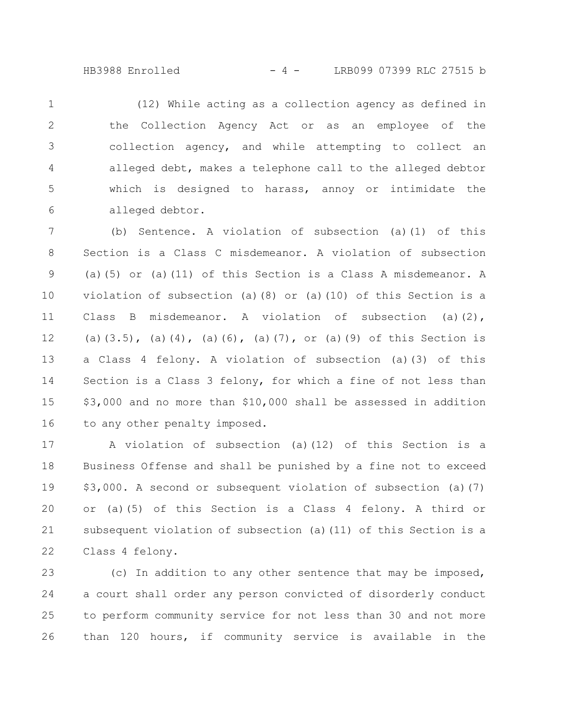## HB3988 Enrolled - 4 - LRB099 07399 RLC 27515 b

(12) While acting as a collection agency as defined in the Collection Agency Act or as an employee of the collection agency, and while attempting to collect an alleged debt, makes a telephone call to the alleged debtor which is designed to harass, annoy or intimidate the alleged debtor. 1 2 3 4 5 6

(b) Sentence. A violation of subsection (a)(1) of this Section is a Class C misdemeanor. A violation of subsection (a)(5) or (a)(11) of this Section is a Class A misdemeanor. A violation of subsection (a)(8) or (a)(10) of this Section is a Class B misdemeanor. A violation of subsection (a)(2), (a)(3.5), (a)(4), (a)(6), (a)(7), or (a)(9) of this Section is a Class 4 felony. A violation of subsection (a)(3) of this Section is a Class 3 felony, for which a fine of not less than \$3,000 and no more than \$10,000 shall be assessed in addition to any other penalty imposed. 7 8 9 10 11 12 13 14 15 16

A violation of subsection (a)(12) of this Section is a Business Offense and shall be punished by a fine not to exceed \$3,000. A second or subsequent violation of subsection (a)(7) or (a)(5) of this Section is a Class 4 felony. A third or subsequent violation of subsection (a)(11) of this Section is a Class 4 felony. 17 18 19 20 21 22

(c) In addition to any other sentence that may be imposed, a court shall order any person convicted of disorderly conduct to perform community service for not less than 30 and not more than 120 hours, if community service is available in the 23 24 25 26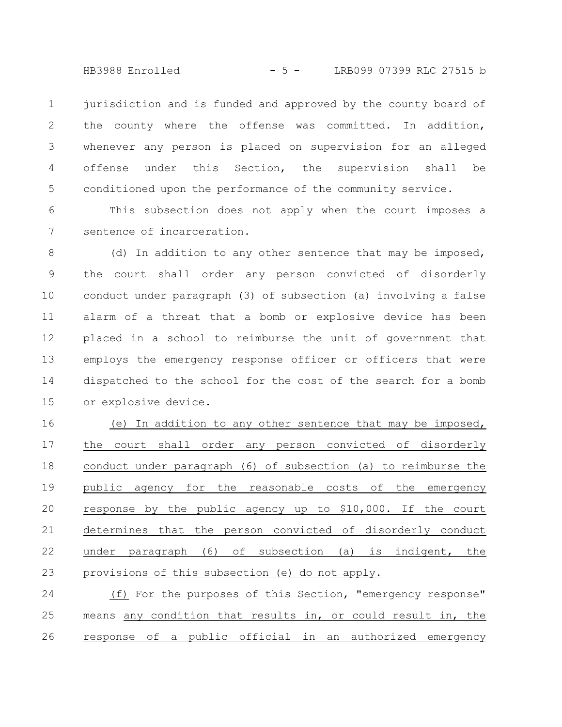- 5 -HB3988 Enrolled LRB099 07399 RLC 27515 b

jurisdiction and is funded and approved by the county board of the county where the offense was committed. In addition, whenever any person is placed on supervision for an alleged offense under this Section, the supervision shall be conditioned upon the performance of the community service. 1 2 3 4 5

This subsection does not apply when the court imposes a sentence of incarceration. 6 7

(d) In addition to any other sentence that may be imposed, the court shall order any person convicted of disorderly conduct under paragraph (3) of subsection (a) involving a false alarm of a threat that a bomb or explosive device has been placed in a school to reimburse the unit of government that employs the emergency response officer or officers that were dispatched to the school for the cost of the search for a bomb or explosive device. 8 9 10 11 12 13 14 15

(e) In addition to any other sentence that may be imposed, the court shall order any person convicted of disorderly conduct under paragraph (6) of subsection (a) to reimburse the public agency for the reasonable costs of the emergency response by the public agency up to \$10,000. If the court determines that the person convicted of disorderly conduct under paragraph (6) of subsection (a) is indigent, the provisions of this subsection (e) do not apply. 16 17 18 19 20 21 22 23

(f) For the purposes of this Section, "emergency response" means any condition that results in, or could result in, the response of a public official in an authorized emergency 24 25 26